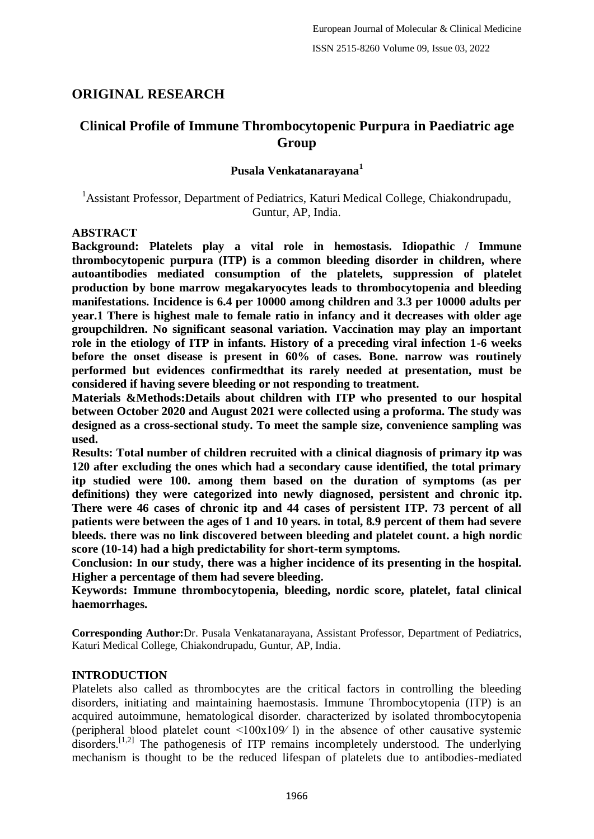# **ORIGINAL RESEARCH**

# **Clinical Profile of Immune Thrombocytopenic Purpura in Paediatric age Group**

# **Pusala Venkatanarayana<sup>1</sup>**

<sup>1</sup> Assistant Professor, Department of Pediatrics, Katuri Medical College, Chiakondrupadu, Guntur, AP, India.

## **ABSTRACT**

**Background: Platelets play a vital role in hemostasis. Idiopathic / Immune thrombocytopenic purpura (ITP) is a common bleeding disorder in children, where autoantibodies mediated consumption of the platelets, suppression of platelet production by bone marrow megakaryocytes leads to thrombocytopenia and bleeding manifestations. Incidence is 6.4 per 10000 among children and 3.3 per 10000 adults per year.1 There is highest male to female ratio in infancy and it decreases with older age groupchildren. No significant seasonal variation. Vaccination may play an important role in the etiology of ITP in infants. History of a preceding viral infection 1-6 weeks before the onset disease is present in 60% of cases. Bone. narrow was routinely performed but evidences confirmedthat its rarely needed at presentation, must be considered if having severe bleeding or not responding to treatment.**

**Materials &Methods:Details about children with ITP who presented to our hospital between October 2020 and August 2021 were collected using a proforma. The study was designed as a cross-sectional study. To meet the sample size, convenience sampling was used.**

**Results: Total number of children recruited with a clinical diagnosis of primary itp was 120 after excluding the ones which had a secondary cause identified, the total primary itp studied were 100. among them based on the duration of symptoms (as per definitions) they were categorized into newly diagnosed, persistent and chronic itp. There were 46 cases of chronic itp and 44 cases of persistent ITP. 73 percent of all patients were between the ages of 1 and 10 years. in total, 8.9 percent of them had severe bleeds. there was no link discovered between bleeding and platelet count. a high nordic score (10-14) had a high predictability for short-term symptoms.**

**Conclusion: In our study, there was a higher incidence of its presenting in the hospital. Higher a percentage of them had severe bleeding.**

**Keywords: Immune thrombocytopenia, bleeding, nordic score, platelet, fatal clinical haemorrhages.**

**Corresponding Author:**Dr. Pusala Venkatanarayana, Assistant Professor, Department of Pediatrics, Katuri Medical College, Chiakondrupadu, Guntur, AP, India.

# **INTRODUCTION**

Platelets also called as thrombocytes are the critical factors in controlling the bleeding disorders, initiating and maintaining haemostasis. Immune Thrombocytopenia (ITP) is an acquired autoimmune, hematological disorder. characterized by isolated thrombocytopenia (peripheral blood platelet count  $\leq 100x109/1$ ) in the absence of other causative systemic disorders.<sup>[1,2]</sup> The pathogenesis of ITP remains incompletely understood. The underlying mechanism is thought to be the reduced lifespan of platelets due to antibodies-mediated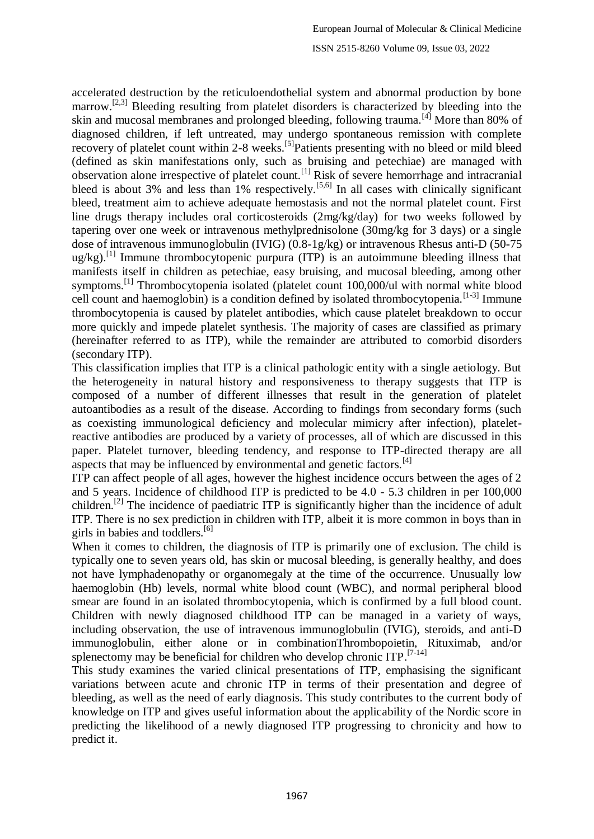accelerated destruction by the reticuloendothelial system and abnormal production by bone marrow.<sup>[2,3]</sup> Bleeding resulting from platelet disorders is characterized by bleeding into the skin and mucosal membranes and prolonged bleeding, following trauma.[4] More than 80% of diagnosed children, if left untreated, may undergo spontaneous remission with complete recovery of platelet count within 2-8 weeks.<sup>[5]</sup>Patients presenting with no bleed or mild bleed (defined as skin manifestations only, such as bruising and petechiae) are managed with observation alone irrespective of platelet count.<sup>[1]</sup> Risk of severe hemorrhage and intracranial bleed is about 3% and less than 1% respectively.<sup>[5,6]</sup> In all cases with clinically significant bleed, treatment aim to achieve adequate hemostasis and not the normal platelet count. First line drugs therapy includes oral corticosteroids (2mg/kg/day) for two weeks followed by tapering over one week or intravenous methylprednisolone (30mg/kg for 3 days) or a single dose of intravenous immunoglobulin (IVIG) (0.8-1g/kg) or intravenous Rhesus anti-D (50-75  $u\varrho$ /kg).<sup>[1]</sup> Immune thrombocytopenic purpura (ITP) is an autoimmune bleeding illness that manifests itself in children as petechiae, easy bruising, and mucosal bleeding, among other symptoms.<sup>[1]</sup> Thrombocytopenia isolated (platelet count 100,000/ul with normal white blood cell count and haemoglobin) is a condition defined by isolated thrombocytopenia.<sup>[1-3]</sup> Immune thrombocytopenia is caused by platelet antibodies, which cause platelet breakdown to occur more quickly and impede platelet synthesis. The majority of cases are classified as primary (hereinafter referred to as ITP), while the remainder are attributed to comorbid disorders (secondary ITP).

This classification implies that ITP is a clinical pathologic entity with a single aetiology. But the heterogeneity in natural history and responsiveness to therapy suggests that ITP is composed of a number of different illnesses that result in the generation of platelet autoantibodies as a result of the disease. According to findings from secondary forms (such as coexisting immunological deficiency and molecular mimicry after infection), plateletreactive antibodies are produced by a variety of processes, all of which are discussed in this paper. Platelet turnover, bleeding tendency, and response to ITP-directed therapy are all aspects that may be influenced by environmental and genetic factors.<sup>[4]</sup>

ITP can affect people of all ages, however the highest incidence occurs between the ages of 2 and 5 years. Incidence of childhood ITP is predicted to be 4.0 - 5.3 children in per 100,000 children.[2] The incidence of paediatric ITP is significantly higher than the incidence of adult ITP. There is no sex prediction in children with ITP, albeit it is more common in boys than in girls in babies and toddlers.<sup>[6]</sup>

When it comes to children, the diagnosis of ITP is primarily one of exclusion. The child is typically one to seven years old, has skin or mucosal bleeding, is generally healthy, and does not have lymphadenopathy or organomegaly at the time of the occurrence. Unusually low haemoglobin (Hb) levels, normal white blood count (WBC), and normal peripheral blood smear are found in an isolated thrombocytopenia, which is confirmed by a full blood count. Children with newly diagnosed childhood ITP can be managed in a variety of ways, including observation, the use of intravenous immunoglobulin (IVIG), steroids, and anti-D immunoglobulin, either alone or in combinationThrombopoietin, Rituximab, and/or splenectomy may be beneficial for children who develop chronic  $ITP$ .  $[7-14]$ 

This study examines the varied clinical presentations of ITP, emphasising the significant variations between acute and chronic ITP in terms of their presentation and degree of bleeding, as well as the need of early diagnosis. This study contributes to the current body of knowledge on ITP and gives useful information about the applicability of the Nordic score in predicting the likelihood of a newly diagnosed ITP progressing to chronicity and how to predict it.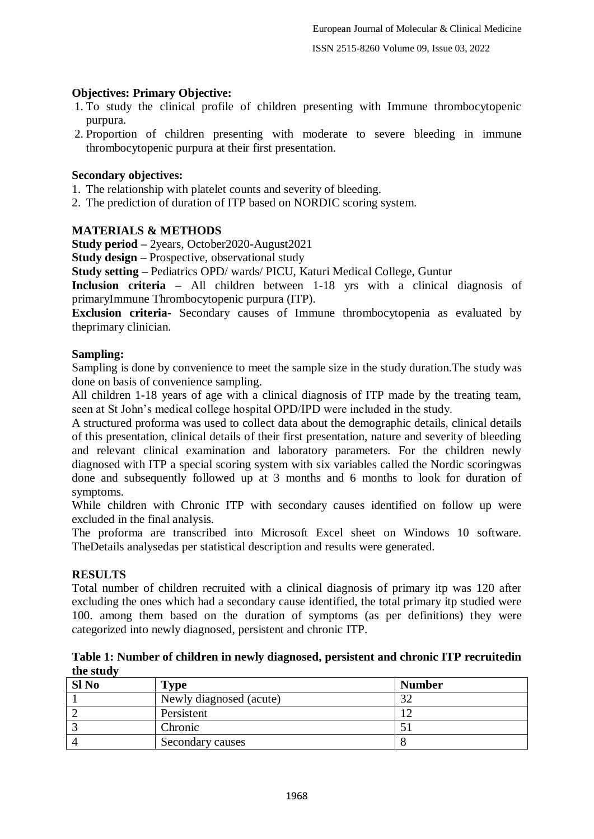## **Objectives: Primary Objective:**

- 1. To study the clinical profile of children presenting with Immune thrombocytopenic purpura.
- 2. Proportion of children presenting with moderate to severe bleeding in immune thrombocytopenic purpura at their first presentation.

#### **Secondary objectives:**

- 1. The relationship with platelet counts and severity of bleeding.
- 2. The prediction of duration of ITP based on NORDIC scoring system.

#### **MATERIALS & METHODS**

**Study period –** 2years, October2020-August2021

**Study design –** Prospective, observational study

**Study setting –** Pediatrics OPD/ wards/ PICU, Katuri Medical College, Guntur

**Inclusion criteria –** All children between 1-18 yrs with a clinical diagnosis of primaryImmune Thrombocytopenic purpura (ITP).

**Exclusion criteria-** Secondary causes of Immune thrombocytopenia as evaluated by theprimary clinician.

#### **Sampling:**

Sampling is done by convenience to meet the sample size in the study duration.The study was done on basis of convenience sampling.

All children 1-18 years of age with a clinical diagnosis of ITP made by the treating team, seen at St John's medical college hospital OPD/IPD were included in the study.

A structured proforma was used to collect data about the demographic details, clinical details of this presentation, clinical details of their first presentation, nature and severity of bleeding and relevant clinical examination and laboratory parameters. For the children newly diagnosed with ITP a special scoring system with six variables called the Nordic scoringwas done and subsequently followed up at 3 months and 6 months to look for duration of symptoms.

While children with Chronic ITP with secondary causes identified on follow up were excluded in the final analysis.

The proforma are transcribed into Microsoft Excel sheet on Windows 10 software. TheDetails analysedas per statistical description and results were generated.

#### **RESULTS**

Total number of children recruited with a clinical diagnosis of primary itp was 120 after excluding the ones which had a secondary cause identified, the total primary itp studied were 100. among them based on the duration of symptoms (as per definitions) they were categorized into newly diagnosed, persistent and chronic ITP.

#### **Table 1: Number of children in newly diagnosed, persistent and chronic ITP recruitedin the study**

| $SI$ No | Type                    | <b>Number</b> |
|---------|-------------------------|---------------|
|         | Newly diagnosed (acute) | 20            |
|         | Persistent              |               |
|         | Chronic                 |               |
|         | Secondary causes        |               |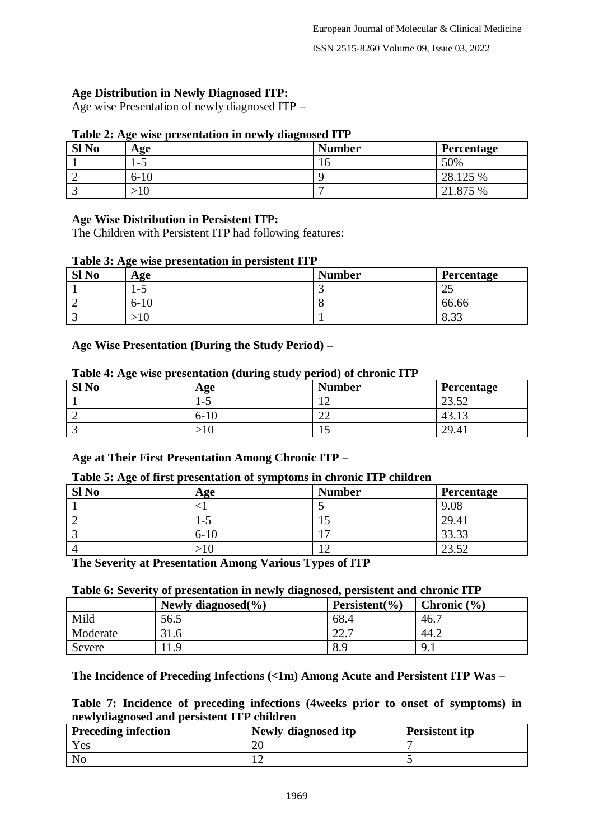# **Age Distribution in Newly Diagnosed ITP:**

Age wise Presentation of newly diagnosed ITP –

#### **Table 2: Age wise presentation in newly diagnosed ITP**

| $SI$ No | Age      | <b>Number</b> | <b>Percentage</b> |
|---------|----------|---------------|-------------------|
|         | ت−       | 10            | 50%               |
|         | $6 - 10$ |               | 28.125 %          |
|         |          |               | 21.875 %          |

## **Age Wise Distribution in Persistent ITP:**

The Children with Persistent ITP had following features:

#### **Table 3: Age wise presentation in persistent ITP**

| Sl <sub>No</sub> | Age    | <b>Number</b> | Percentage          |
|------------------|--------|---------------|---------------------|
|                  | `−.    |               | ت                   |
| ∼                | $6-10$ |               | 66.66               |
|                  | ΙV     |               | $\Omega$ 22<br>0.JJ |

## **Age Wise Presentation (During the Study Period) –**

# **SI No Age Reserve Number Percentage** 1  $\vert 1.5 \vert 12 \vert 23.52$ 2  $\begin{vmatrix} 6{\text -}10 \end{vmatrix}$  22  $\begin{vmatrix} 43.13 \end{vmatrix}$ 3  $|>10$  15  $|29.41$

#### **Table 4: Age wise presentation (during study period) of chronic ITP**

# **Age at Their First Presentation Among Chronic ITP –**

#### **Table 5: Age of first presentation of symptoms in chronic ITP children**

| Sl <sub>No</sub> | Age      | <b>Number</b> | <b>Percentage</b> |
|------------------|----------|---------------|-------------------|
|                  |          |               | 9.08              |
|                  | .-3      | ر ا           | 29.41             |
|                  | $6 - 10$ |               | 33.33             |
|                  |          |               | 23.52             |

**The Severity at Presentation Among Various Types of ITP**

# **Table 6: Severity of presentation in newly diagnosed, persistent and chronic ITP**

|          | Newly diagnosed $(\% )$ | Persistent $(\% )$ | Chronic $(\% )$ |  |  |
|----------|-------------------------|--------------------|-----------------|--|--|
| Mild     | 56.5                    | 68.4               | 46.7            |  |  |
| Moderate | 31.6                    | 222<br>44.1        | 44.2            |  |  |
| Severe   | .1.9                    | 8.9                | $9_{.1}$        |  |  |

# **The Incidence of Preceding Infections (<1m) Among Acute and Persistent ITP Was –**

**Table 7: Incidence of preceding infections (4weeks prior to onset of symptoms) in newlydiagnosed and persistent ITP children**

| <b>Preceding infection</b> | Newly diagnosed itp | Persistent itp |
|----------------------------|---------------------|----------------|
| Yes                        | ∠∪                  |                |
| No                         |                     |                |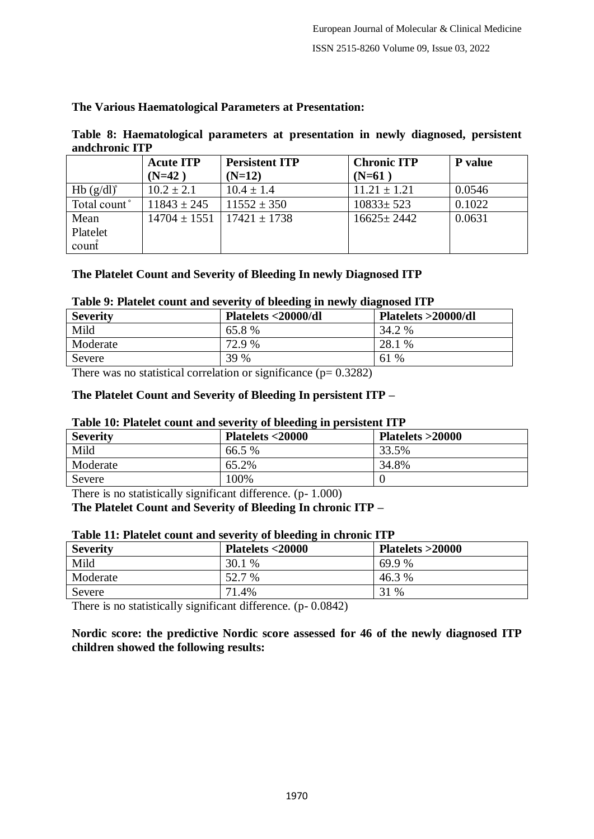## **The Various Haematological Parameters at Presentation:**

|                | Table 8: Haematological parameters at presentation in newly diagnosed, persistent |  |  |  |  |
|----------------|-----------------------------------------------------------------------------------|--|--|--|--|
| andchronic ITP |                                                                                   |  |  |  |  |

|                    | <b>Acute ITP</b> | <b>Persistent ITP</b> | <b>Chronic ITP</b> | P value |
|--------------------|------------------|-----------------------|--------------------|---------|
|                    | $(N=42)$         | $(N=12)$              | $(N=61)$           |         |
| $Hb(g/dl)^{\circ}$ | $10.2 \pm 2.1$   | $10.4 \pm 1.4$        | $11.21 \pm 1.21$   | 0.0546  |
| Total count°       | $11843 \pm 245$  | $11552 \pm 350$       | $10833 \pm 523$    | 0.1022  |
| Mean               | $14704 \pm 1551$ | $17421 \pm 1738$      | $16625 \pm 2442$   | 0.0631  |
| Platelet           |                  |                       |                    |         |
| count              |                  |                       |                    |         |

#### **The Platelet Count and Severity of Bleeding In newly Diagnosed ITP**

## **Table 9: Platelet count and severity of bleeding in newly diagnosed ITP**

| TWOICE I THREE COMILE MINE DETECTIVE OF DICCUILLE IN HEATHER WINDICOUR TILE |                     |                     |  |  |
|-----------------------------------------------------------------------------|---------------------|---------------------|--|--|
| <b>Severity</b>                                                             | Platelets <20000/dl | Platelets >20000/dl |  |  |
| Mild                                                                        | 65.8%               | 34.2 %              |  |  |
| Moderate                                                                    | 72.9 %              | 28.1 %              |  |  |
| Severe                                                                      | 39 %                | $\%$<br>61          |  |  |

There was no statistical correlation or significance  $(p= 0.3282)$ 

#### **The Platelet Count and Severity of Bleeding In persistent ITP –**

#### **Table 10: Platelet count and severity of bleeding in persistent ITP**

| <b>Severity</b> | Platelets <20000 | Platelets >20000 |
|-----------------|------------------|------------------|
| Mild            | 66.5 %           | 33.5%            |
| Moderate        | 65.2%            | 34.8%            |
| Severe          | 100%             |                  |

There is no statistically significant difference. (p- 1.000)

**The Platelet Count and Severity of Bleeding In chronic ITP –**

#### **Table 11: Platelet count and severity of bleeding in chronic ITP**

| <b>Severity</b> | Platelets <20000 | Platelets >20000 |
|-----------------|------------------|------------------|
| Mild            | 30.1 %           | 69.9 %           |
| Moderate        | 52.7 %           | 46.3 %           |
| Severe          | 71.4%            | 31 %             |

There is no statistically significant difference. (p- 0.0842)

**Nordic score: the predictive Nordic score assessed for 46 of the newly diagnosed ITP children showed the following results:**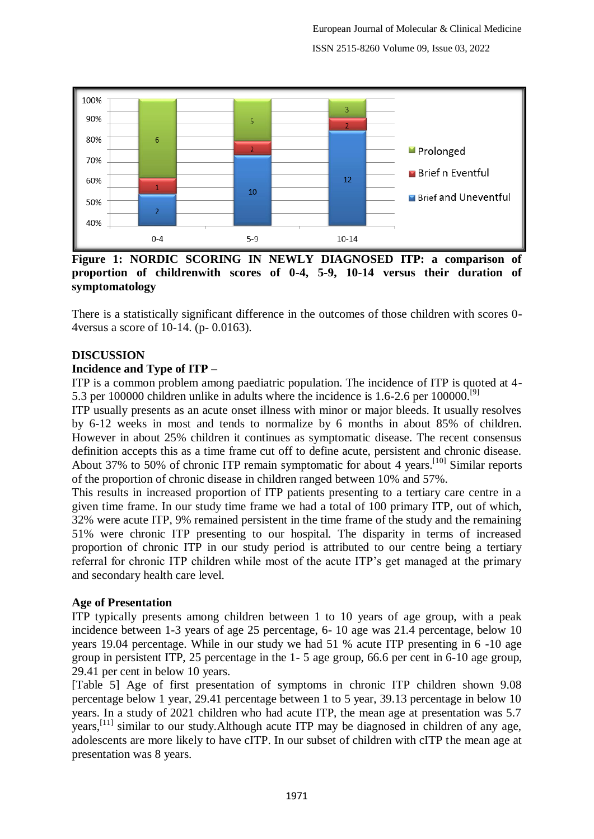

**Figure 1: NORDIC SCORING IN NEWLY DIAGNOSED ITP: a comparison of proportion of childrenwith scores of 0-4, 5-9, 10-14 versus their duration of symptomatology**

There is a statistically significant difference in the outcomes of those children with scores 0- 4versus a score of 10-14. (p- 0.0163).

## **DISCUSSION**

## **Incidence and Type of ITP –**

ITP is a common problem among paediatric population. The incidence of ITP is quoted at 4- 5.3 per 100000 children unlike in adults where the incidence is 1.6-2.6 per 100000.<sup>[9]</sup>

ITP usually presents as an acute onset illness with minor or major bleeds. It usually resolves by 6-12 weeks in most and tends to normalize by 6 months in about 85% of children. However in about 25% children it continues as symptomatic disease. The recent consensus definition accepts this as a time frame cut off to define acute, persistent and chronic disease. About 37% to 50% of chronic ITP remain symptomatic for about 4 years.[10] Similar reports of the proportion of chronic disease in children ranged between 10% and 57%.

This results in increased proportion of ITP patients presenting to a tertiary care centre in a given time frame. In our study time frame we had a total of 100 primary ITP, out of which, 32% were acute ITP, 9% remained persistent in the time frame of the study and the remaining 51% were chronic ITP presenting to our hospital. The disparity in terms of increased proportion of chronic ITP in our study period is attributed to our centre being a tertiary referral for chronic ITP children while most of the acute ITP's get managed at the primary and secondary health care level.

#### **Age of Presentation**

ITP typically presents among children between 1 to 10 years of age group, with a peak incidence between 1-3 years of age 25 percentage, 6- 10 age was 21.4 percentage, below 10 years 19.04 percentage. While in our study we had 51 % acute ITP presenting in 6 -10 age group in persistent ITP, 25 percentage in the 1- 5 age group, 66.6 per cent in 6-10 age group, 29.41 per cent in below 10 years.

[Table 5] Age of first presentation of symptoms in chronic ITP children shown 9.08 percentage below 1 year, 29.41 percentage between 1 to 5 year, 39.13 percentage in below 10 years. In a study of 2021 children who had acute ITP, the mean age at presentation was 5.7 years,[11] similar to our study.Although acute ITP may be diagnosed in children of any age, adolescents are more likely to have cITP. In our subset of children with cITP the mean age at presentation was 8 years.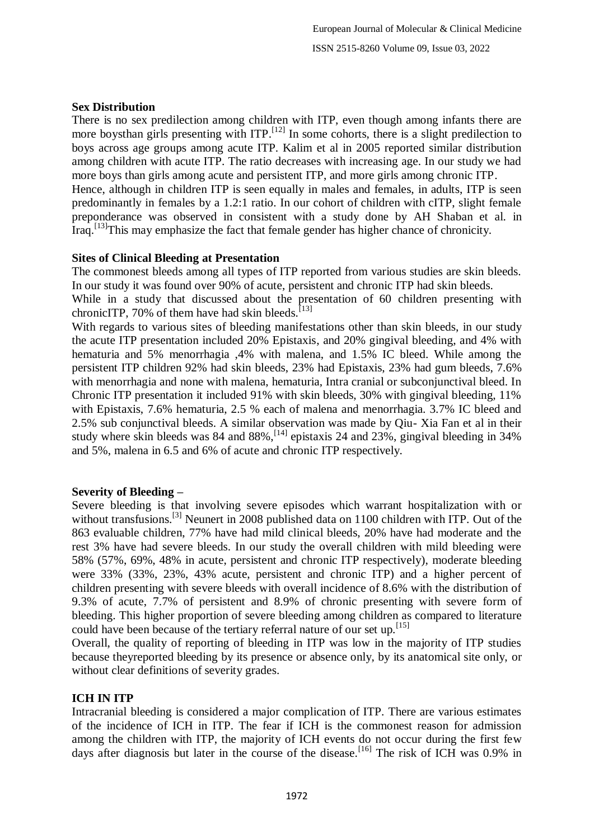# **Sex Distribution**

There is no sex predilection among children with ITP, even though among infants there are more boysthan girls presenting with  $ITP$ .<sup>[12]</sup> In some cohorts, there is a slight predilection to boys across age groups among acute ITP. Kalim et al in 2005 reported similar distribution among children with acute ITP. The ratio decreases with increasing age. In our study we had more boys than girls among acute and persistent ITP, and more girls among chronic ITP. Hence, although in children ITP is seen equally in males and females, in adults, ITP is seen predominantly in females by a 1.2:1 ratio. In our cohort of children with cITP, slight female preponderance was observed in consistent with a study done by AH Shaban et al. in Iraq.<sup>[13]</sup>This may emphasize the fact that female gender has higher chance of chronicity.

# **Sites of Clinical Bleeding at Presentation**

The commonest bleeds among all types of ITP reported from various studies are skin bleeds. In our study it was found over 90% of acute, persistent and chronic ITP had skin bleeds.

While in a study that discussed about the presentation of 60 children presenting with chronicITP, 70% of them have had skin bleeds.<sup>[13]</sup>

With regards to various sites of bleeding manifestations other than skin bleeds, in our study the acute ITP presentation included 20% Epistaxis, and 20% gingival bleeding, and 4% with hematuria and 5% menorrhagia ,4% with malena, and 1.5% IC bleed. While among the persistent ITP children 92% had skin bleeds, 23% had Epistaxis, 23% had gum bleeds, 7.6% with menorrhagia and none with malena, hematuria, Intra cranial or subconjunctival bleed. In Chronic ITP presentation it included 91% with skin bleeds, 30% with gingival bleeding, 11% with Epistaxis, 7.6% hematuria, 2.5 % each of malena and menorrhagia. 3.7% IC bleed and 2.5% sub conjunctival bleeds. A similar observation was made by Qiu- Xia Fan et al in their study where skin bleeds was 84 and 88%,<sup>[14]</sup> epistaxis 24 and 23%, gingival bleeding in 34% and 5%, malena in 6.5 and 6% of acute and chronic ITP respectively.

# **Severity of Bleeding –**

Severe bleeding is that involving severe episodes which warrant hospitalization with or without transfusions.<sup>[3]</sup> Neunert in 2008 published data on 1100 children with ITP. Out of the 863 evaluable children, 77% have had mild clinical bleeds, 20% have had moderate and the rest 3% have had severe bleeds. In our study the overall children with mild bleeding were 58% (57%, 69%, 48% in acute, persistent and chronic ITP respectively), moderate bleeding were 33% (33%, 23%, 43% acute, persistent and chronic ITP) and a higher percent of children presenting with severe bleeds with overall incidence of 8.6% with the distribution of 9.3% of acute, 7.7% of persistent and 8.9% of chronic presenting with severe form of bleeding. This higher proportion of severe bleeding among children as compared to literature could have been because of the tertiary referral nature of our set up.<sup>[15]</sup>

Overall, the quality of reporting of bleeding in ITP was low in the majority of ITP studies because theyreported bleeding by its presence or absence only, by its anatomical site only, or without clear definitions of severity grades.

# **ICH IN ITP**

Intracranial bleeding is considered a major complication of ITP. There are various estimates of the incidence of ICH in ITP. The fear if ICH is the commonest reason for admission among the children with ITP, the majority of ICH events do not occur during the first few days after diagnosis but later in the course of the disease.<sup>[16]</sup> The risk of ICH was 0.9% in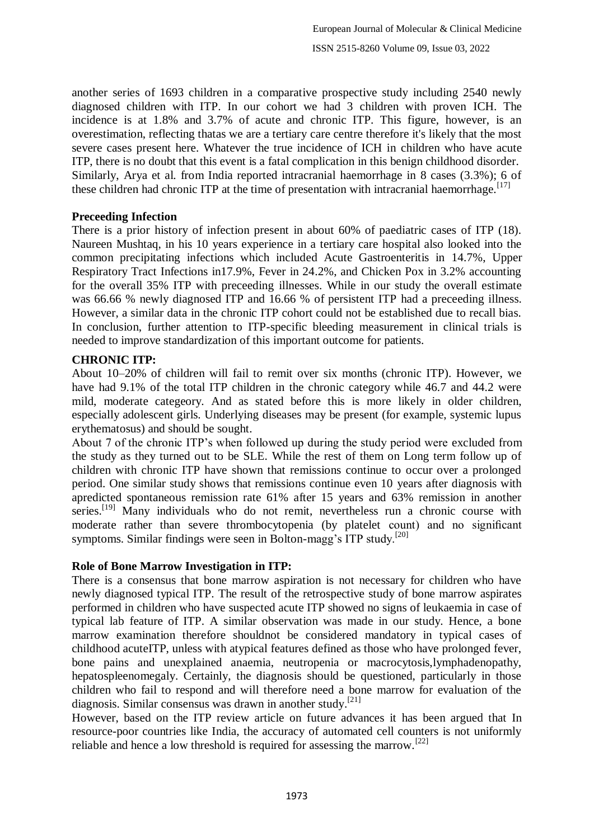another series of 1693 children in a comparative prospective study including 2540 newly diagnosed children with ITP. In our cohort we had 3 children with proven ICH. The incidence is at 1.8% and 3.7% of acute and chronic ITP. This figure, however, is an overestimation, reflecting thatas we are a tertiary care centre therefore it's likely that the most severe cases present here. Whatever the true incidence of ICH in children who have acute ITP, there is no doubt that this event is a fatal complication in this benign childhood disorder. Similarly, Arya et al. from India reported intracranial haemorrhage in 8 cases (3.3%); 6 of these children had chronic ITP at the time of presentation with intracranial haemorrhage.<sup>[17]</sup>

## **Preceeding Infection**

There is a prior history of infection present in about 60% of paediatric cases of ITP (18). Naureen Mushtaq, in his 10 years experience in a tertiary care hospital also looked into the common precipitating infections which included Acute Gastroenteritis in 14.7%, Upper Respiratory Tract Infections in17.9%, Fever in 24.2%, and Chicken Pox in 3.2% accounting for the overall 35% ITP with preceeding illnesses. While in our study the overall estimate was 66.66 % newly diagnosed ITP and 16.66 % of persistent ITP had a preceeding illness. However, a similar data in the chronic ITP cohort could not be established due to recall bias. In conclusion, further attention to ITP-specific bleeding measurement in clinical trials is needed to improve standardization of this important outcome for patients.

# **CHRONIC ITP:**

About 10–20% of children will fail to remit over six months (chronic ITP). However, we have had 9.1% of the total ITP children in the chronic category while 46.7 and 44.2 were mild, moderate categeory. And as stated before this is more likely in older children, especially adolescent girls. Underlying diseases may be present (for example, systemic lupus erythematosus) and should be sought.

About 7 of the chronic ITP's when followed up during the study period were excluded from the study as they turned out to be SLE. While the rest of them on Long term follow up of children with chronic ITP have shown that remissions continue to occur over a prolonged period. One similar study shows that remissions continue even 10 years after diagnosis with apredicted spontaneous remission rate 61% after 15 years and 63% remission in another series.<sup>[19]</sup> Many individuals who do not remit, nevertheless run a chronic course with moderate rather than severe thrombocytopenia (by platelet count) and no significant symptoms. Similar findings were seen in Bolton-magg's ITP study.<sup>[20]</sup>

# **Role of Bone Marrow Investigation in ITP:**

There is a consensus that bone marrow aspiration is not necessary for children who have newly diagnosed typical ITP. The result of the retrospective study of bone marrow aspirates performed in children who have suspected acute ITP showed no signs of leukaemia in case of typical lab feature of ITP. A similar observation was made in our study. Hence, a bone marrow examination therefore shouldnot be considered mandatory in typical cases of childhood acuteITP, unless with atypical features defined as those who have prolonged fever, bone pains and unexplained anaemia, neutropenia or macrocytosis,lymphadenopathy, hepatospleenomegaly. Certainly, the diagnosis should be questioned, particularly in those children who fail to respond and will therefore need a bone marrow for evaluation of the diagnosis. Similar consensus was drawn in another study.<sup>[21]</sup>

However, based on the ITP review article on future advances it has been argued that In resource-poor countries like India, the accuracy of automated cell counters is not uniformly reliable and hence a low threshold is required for assessing the marrow.<sup>[22]</sup>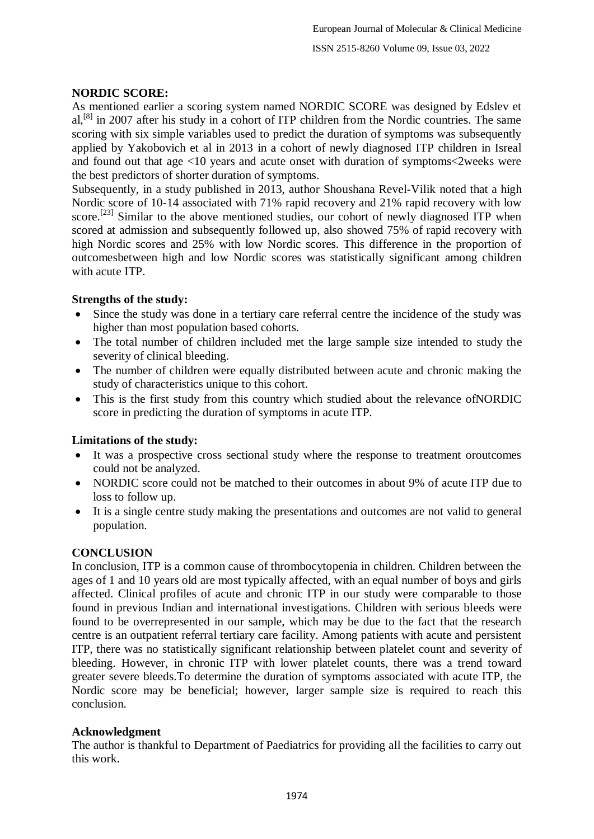# **NORDIC SCORE:**

As mentioned earlier a scoring system named NORDIC SCORE was designed by Edslev et al,<sup>[8]</sup> in 2007 after his study in a cohort of ITP children from the Nordic countries. The same scoring with six simple variables used to predict the duration of symptoms was subsequently applied by Yakobovich et al in 2013 in a cohort of newly diagnosed ITP children in Isreal and found out that age <10 years and acute onset with duration of symptoms<2weeks were the best predictors of shorter duration of symptoms.

Subsequently, in a study published in 2013, author Shoushana Revel-Vilik noted that a high Nordic score of 10-14 associated with 71% rapid recovery and 21% rapid recovery with low score.<sup>[23]</sup> Similar to the above mentioned studies, our cohort of newly diagnosed ITP when scored at admission and subsequently followed up, also showed 75% of rapid recovery with high Nordic scores and 25% with low Nordic scores. This difference in the proportion of outcomesbetween high and low Nordic scores was statistically significant among children with acute ITP.

# **Strengths of the study:**

- Since the study was done in a tertiary care referral centre the incidence of the study was higher than most population based cohorts.
- The total number of children included met the large sample size intended to study the severity of clinical bleeding.
- The number of children were equally distributed between acute and chronic making the study of characteristics unique to this cohort.
- This is the first study from this country which studied about the relevance ofNORDIC score in predicting the duration of symptoms in acute ITP.

# **Limitations of the study:**

- It was a prospective cross sectional study where the response to treatment oroutcomes could not be analyzed.
- NORDIC score could not be matched to their outcomes in about 9% of acute ITP due to loss to follow up.
- It is a single centre study making the presentations and outcomes are not valid to general population.

# **CONCLUSION**

In conclusion, ITP is a common cause of thrombocytopenia in children. Children between the ages of 1 and 10 years old are most typically affected, with an equal number of boys and girls affected. Clinical profiles of acute and chronic ITP in our study were comparable to those found in previous Indian and international investigations. Children with serious bleeds were found to be overrepresented in our sample, which may be due to the fact that the research centre is an outpatient referral tertiary care facility. Among patients with acute and persistent ITP, there was no statistically significant relationship between platelet count and severity of bleeding. However, in chronic ITP with lower platelet counts, there was a trend toward greater severe bleeds.To determine the duration of symptoms associated with acute ITP, the Nordic score may be beneficial; however, larger sample size is required to reach this conclusion.

# **Acknowledgment**

The author is thankful to Department of Paediatrics for providing all the facilities to carry out this work.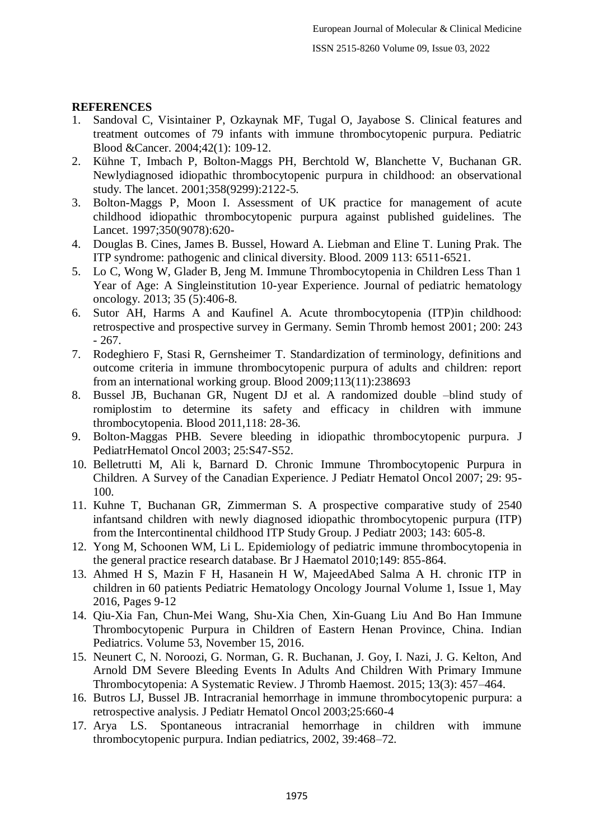# **REFERENCES**

- 1. Sandoval C, Visintainer P, Ozkaynak MF, Tugal O, Jayabose S. Clinical features and treatment outcomes of 79 infants with immune thrombocytopenic purpura. Pediatric Blood &Cancer. 2004;42(1): 109-12.
- 2. Kühne T, Imbach P, Bolton-Maggs PH, Berchtold W, Blanchette V, Buchanan GR. Newlydiagnosed idiopathic thrombocytopenic purpura in childhood: an observational study. The lancet. 2001;358(9299):2122-5.
- 3. Bolton-Maggs P, Moon I. Assessment of UK practice for management of acute childhood idiopathic thrombocytopenic purpura against published guidelines. The Lancet. 1997;350(9078):620-
- 4. Douglas B. Cines, James B. Bussel, Howard A. Liebman and Eline T. Luning Prak. The ITP syndrome: pathogenic and clinical diversity. Blood. 2009 113: 6511-6521.
- 5. Lo C, Wong W, Glader B, Jeng M. Immune Thrombocytopenia in Children Less Than 1 Year of Age: A Singleinstitution 10-year Experience. Journal of pediatric hematology oncology. 2013; 35 (5):406-8.
- 6. Sutor AH, Harms A and Kaufinel A. Acute thrombocytopenia (ITP)in childhood: retrospective and prospective survey in Germany. Semin Thromb hemost 2001; 200: 243 - 267.
- 7. Rodeghiero F, Stasi R, Gernsheimer T. Standardization of terminology, definitions and outcome criteria in immune thrombocytopenic purpura of adults and children: report from an international working group. Blood 2009;113(11):238693
- 8. Bussel JB, Buchanan GR, Nugent DJ et al. A randomized double –blind study of romiplostim to determine its safety and efficacy in children with immune thrombocytopenia. Blood 2011,118: 28-36.
- 9. Bolton-Maggas PHB. Severe bleeding in idiopathic thrombocytopenic purpura. J PediatrHematol Oncol 2003; 25:S47-S52.
- 10. Belletrutti M, Ali k, Barnard D. Chronic Immune Thrombocytopenic Purpura in Children. A Survey of the Canadian Experience. J Pediatr Hematol Oncol 2007; 29: 95- 100.
- 11. Kuhne T, Buchanan GR, Zimmerman S. A prospective comparative study of 2540 infantsand children with newly diagnosed idiopathic thrombocytopenic purpura (ITP) from the Intercontinental childhood ITP Study Group. J Pediatr 2003; 143: 605-8.
- 12. Yong M, Schoonen WM, Li L. Epidemiology of pediatric immune thrombocytopenia in the general practice research database. Br J Haematol 2010;149: 855-864.
- 13. Ahmed H S, Mazin F H, Hasanein H W, MajeedAbed Salma A H. chronic ITP in children in 60 patients Pediatric Hematology Oncology Journal Volume 1, Issue 1, May 2016, Pages 9-12
- 14. Qiu-Xia Fan, Chun-Mei Wang, Shu-Xia Chen, Xin-Guang Liu And Bo Han Immune Thrombocytopenic Purpura in Children of Eastern Henan Province, China. Indian Pediatrics. Volume 53, November 15, 2016.
- 15. Neunert C, N. Noroozi, G. Norman, G. R. Buchanan, J. Goy, I. Nazi, J. G. Kelton, And Arnold DM Severe Bleeding Events In Adults And Children With Primary Immune Thrombocytopenia: A Systematic Review. J Thromb Haemost. 2015; 13(3): 457–464.
- 16. Butros LJ, Bussel JB. Intracranial hemorrhage in immune thrombocytopenic purpura: a retrospective analysis. J Pediatr Hematol Oncol 2003;25:660-4
- 17. Arya LS. Spontaneous intracranial hemorrhage in children with immune thrombocytopenic purpura. Indian pediatrics, 2002, 39:468–72.